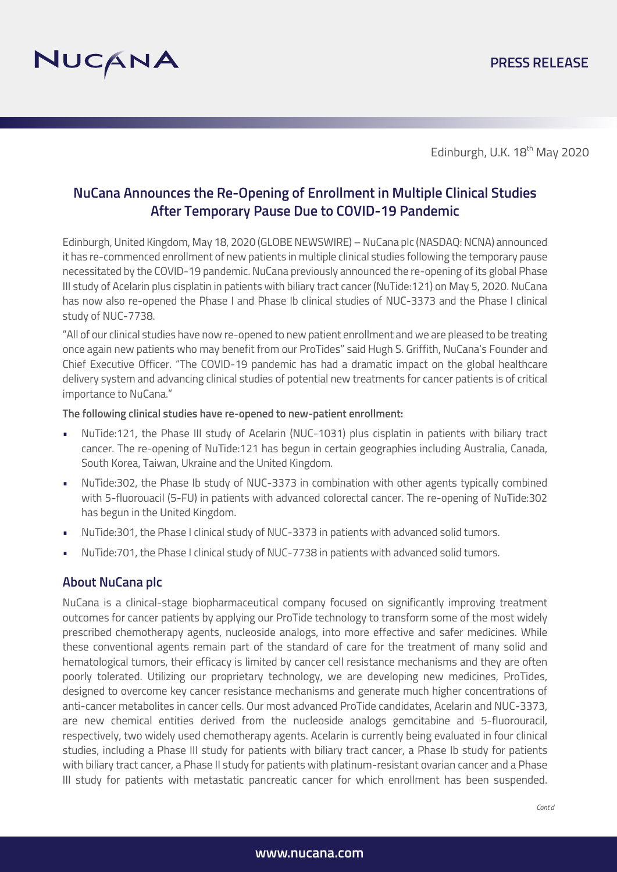

Edinburgh, U.K. 18<sup>th</sup> May 2020

# **NuCana Announces the Re-Opening of Enrollment in Multiple Clinical Studies After Temporary Pause Due to COVID-19 Pandemic**

Edinburgh, United Kingdom, May 18, 2020 (GLOBE NEWSWIRE) – NuCana plc (NASDAQ: NCNA) announced it has re-commenced enrollment of new patients in multiple clinical studies following the temporary pause necessitated by the COVID-19 pandemic. NuCana previously announced the re-opening of its global Phase III study of Acelarin plus cisplatin in patients with biliary tract cancer (NuTide:121) on May 5, 2020. NuCana has now also re-opened the Phase I and Phase Ib clinical studies of NUC-3373 and the Phase I clinical study of NUC-7738.

"All of our clinical studies have now re-opened to new patient enrollment and we are pleased to be treating once again new patients who may benefit from our ProTides" said Hugh S. Griffith, NuCana's Founder and Chief Executive Officer. "The COVID-19 pandemic has had a dramatic impact on the global healthcare delivery system and advancing clinical studies of potential new treatments for cancer patients is of critical importance to NuCana."

#### **The following clinical studies have re-opened to new-patient enrollment:**

- NuTide:121, the Phase III study of Acelarin (NUC-1031) plus cisplatin in patients with biliary tract cancer. The re-opening of NuTide:121 has begun in certain geographies including Australia, Canada, South Korea, Taiwan, Ukraine and the United Kingdom.
- NuTide:302, the Phase Ib study of NUC-3373 in combination with other agents typically combined with 5-fluorouacil (5-FU) in patients with advanced colorectal cancer. The re-opening of NuTide:302 has begun in the United Kingdom.
- NuTide:301, the Phase I clinical study of NUC-3373 in patients with advanced solid tumors.
- NuTide:701, the Phase I clinical study of NUC-7738 in patients with advanced solid tumors.

# **About NuCana plc**

NuCana is a clinical-stage biopharmaceutical company focused on significantly improving treatment outcomes for cancer patients by applying our ProTide technology to transform some of the most widely prescribed chemotherapy agents, nucleoside analogs, into more effective and safer medicines. While these conventional agents remain part of the standard of care for the treatment of many solid and hematological tumors, their efficacy is limited by cancer cell resistance mechanisms and they are often poorly tolerated. Utilizing our proprietary technology, we are developing new medicines, ProTides, designed to overcome key cancer resistance mechanisms and generate much higher concentrations of anti-cancer metabolites in cancer cells. Our most advanced ProTide candidates, Acelarin and NUC-3373, are new chemical entities derived from the nucleoside analogs gemcitabine and 5-fluorouracil, respectively, two widely used chemotherapy agents. Acelarin is currently being evaluated in four clinical studies, including a Phase III study for patients with biliary tract cancer, a Phase Ib study for patients with biliary tract cancer, a Phase II study for patients with platinum-resistant ovarian cancer and a Phase III study for patients with metastatic pancreatic cancer for which enrollment has been suspended.